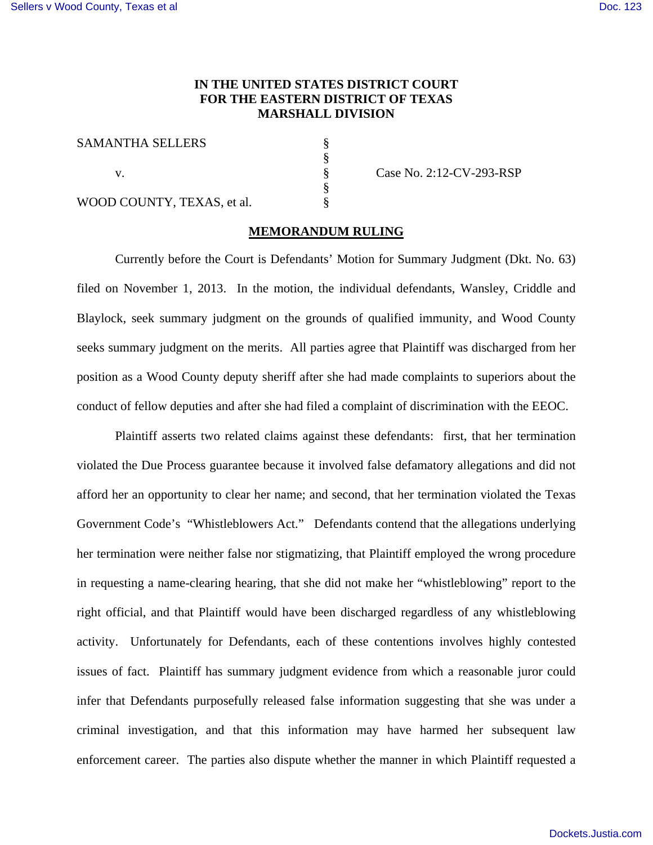## **IN THE UNITED STATES DISTRICT COURT FOR THE EASTERN DISTRICT OF TEXAS MARSHALL DIVISION**

§ § § § §

SAMANTHA SELLERS

v.

WOOD COUNTY, TEXAS, et al.

Case No. 2:12-CV-293-RSP

## **MEMORANDUM RULING**

Currently before the Court is Defendants' Motion for Summary Judgment (Dkt. No. 63) filed on November 1, 2013. In the motion, the individual defendants, Wansley, Criddle and Blaylock, seek summary judgment on the grounds of qualified immunity, and Wood County seeks summary judgment on the merits. All parties agree that Plaintiff was discharged from her position as a Wood County deputy sheriff after she had made complaints to superiors about the conduct of fellow deputies and after she had filed a complaint of discrimination with the EEOC.

Plaintiff asserts two related claims against these defendants: first, that her termination violated the Due Process guarantee because it involved false defamatory allegations and did not afford her an opportunity to clear her name; and second, that her termination violated the Texas Government Code's "Whistleblowers Act." Defendants contend that the allegations underlying her termination were neither false nor stigmatizing, that Plaintiff employed the wrong procedure in requesting a name-clearing hearing, that she did not make her "whistleblowing" report to the right official, and that Plaintiff would have been discharged regardless of any whistleblowing activity. Unfortunately for Defendants, each of these contentions involves highly contested issues of fact. Plaintiff has summary judgment evidence from which a reasonable juror could infer that Defendants purposefully released false information suggesting that she was under a criminal investigation, and that this information may have harmed her subsequent law enforcement career. The parties also dispute whether the manner in which Plaintiff requested a